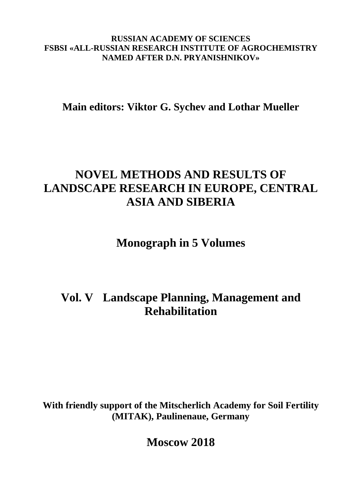**RUSSIAN ACADEMY OF SCIENCES FSBSI «ALL-RUSSIAN RESEARCH INSTITUTE OF AGROCHEMISTRY NAMED AFTER D.N. PRYANISHNIKOV»** 

**Main editors: Viktor G. Sychev and Lothar Mueller** 

# **NOVEL METHODS AND RESULTS OF LANDSCAPE RESEARCH IN EUROPE, CENTRAL ASIA AND SIBERIA**

**Monograph in 5 Volumes** 

# **Vol. V Landscape Planning, Management and Rehabilitation**

**With friendly support of the Mitscherlich Academy for Soil Fertility (MITAK), Paulinenaue, Germany**

**Moscow 2018**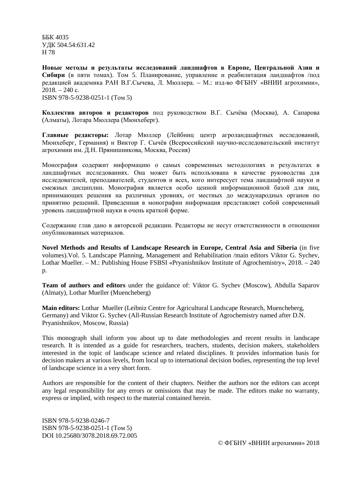ББК 4035 УДК 504.54:631.42 Н 78

**Новые методы и результаты исследований ландшафтов в Европе, Центральной Азии и Сибири** (в пяти томах). Том 5. Планирование, управление и реабилитация ландшафтов /под редакцией академика РАН В.Г.Сычева, Л. Мюллера. – М.: изд-во ФГБНУ «ВНИИ агрохимии»,  $2018. - 240$  c. ISBN 978-5-9238-0251-1 (Том 5)

**Коллектив авторов и редакторов** под руководством В.Г. Сычёва (Москва), А. Сапаровa (Алматы), Лотара Мюллера (Мюнхеберг).

**Главные редакторы:** Лотар Мюллер (Лейбниц центр агроландшафтных исследований, Мюнхеберг, Германия) и Виктор Г. Сычёв (Всероссийский научно-исследовательский институт агрохимии им. Д.Н. Прянишникова, Москва, Россия)

Монография содержит информацию о самых современных методологиях и результатах в ландшафтных исследованиях. Она может быть использована в качестве руководства для исследователей, преподавателей, студентов и всех, кого интересует тема ландшафтной науки и смежных дисциплин. Монография является особо ценной информационной базой для лиц, принимающих решения на различных уровнях, от местных до международных органов по принятию решений. Приведенная в монографии информация представляет собой современный уровень ландшафтной науки в очень краткой форме.

Содержание глав дано в авторской редакции. Редакторы не несут ответственности в отношении опубликованных материалов.

**Novel Methods and Results of Landscape Research in Europe, Central Asia and Siberia** (in five volumes).Vol. 5. Landscape Planning, Management and Rehabilitation /main editors Viktor G. Sychev, Lothar Mueller. – М.: Publishing House FSBSI «Pryanishnikov Institute of Agrochemistry», 2018. – 240  $p_{\cdot}$ 

**Team of authors and editors** under the guidance of: Viktor G. Sychev (Moscow), Abdulla Saparov (Almaty), Lothar Mueller (Muencheberg)

**Main editors:** Lothar Mueller (Leibniz Centre for Agricultural Landscape Research, Muencheberg, Germany) and Viktor G. Sychev (All-Russian Research Institute of Agrochemistry named after D.N. Pryanishnikov, Moscow, Russia)

This monograph shall inform you about up to date methodologies and recent results in landscape research. It is intended as a guide for researchers, teachers, students, decision makers, stakeholders interested in the topic of landscape science and related disciplines. It provides information basis for decision makers at various levels, from local up to international decision bodies, representing the top level of landscape science in a very short form.

Authors are responsible for the content of their chapters. Neither the authors nor the editors can accept any legal responsibility for any errors or omissions that may be made. The editors make no warranty, express or implied, with respect to the material contained herein.

ISBN 978-5-9238-0246-7 ISBN 978-5-9238-0251-1 (Том 5) DOI 10.25680/3078.2018.69.72.005

© ФГБНУ «ВНИИ агрохимии» 2018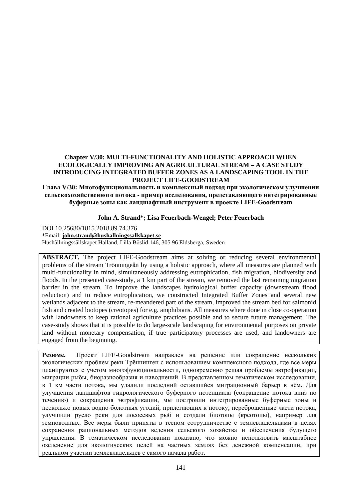# **Chapter V/30: MULTI-FUNCTIONALITY AND HOLISTIC APPROACH WHEN ECOLOGICALLY IMPROVING AN AGRICULTURAL STREAM – A CASE STUDY INTRODUCING INTEGRATED BUFFER ZONES AS A LANDSCAPING TOOL IN THE PROJECT LIFE-GOODSTREAM**

## **Глава V/30: Многофункциональность и комплексный подход при экологическом улучшении сельскохозяйственного потока - пример исследования, представляющего интегрированные буферные зоны как ландшафтный инструмент в проекте LIFE-Goodstream**

## **John A. Strand\*; Lisa Feuerbach-Wengel; Peter Feuerbach**

DOI 10.25680/1815.2018.89.74.376 \*Email: **[john.strand@hushallningssallskapet.se](mailto:john.strand@hushallningssallskapet.se)** Hushållningssällskapet Halland, Lilla Böslid 146, 305 96 Eldsberga, Sweden

**ABSTRACT.** The project LIFE-Goodstream aims at solving or reducing several environmental problems of the stream Trönningeån by using a holistic approach, where all measures are planned with multi-functionality in mind, simultaneously addressing eutrophication, fish migration, biodiversity and floods. In the presented case-study, a 1 km part of the stream, we removed the last remaining migration barrier in the stream. To improve the landscapes hydrological buffer capacity (downstream flood reduction) and to reduce eutrophication, we constructed Integrated Buffer Zones and several new wetlands adjacent to the stream, re-meandered part of the stream, improved the stream bed for salmonid fish and created biotopes (creotopes) for e.g. amphibians. All measures where done in close co-operation with landowners to keep rational agriculture practices possible and to secure future management. The case-study shows that it is possible to do large-scale landscaping for environmental purposes on private land without monetary compensation, if true participatory processes are used, and landowners are engaged from the beginning.

**Резюме.** Проект LIFE-Goodstream направлен на решение или сокращение нескольких экологических проблем реки Трённинген с использованием комплексного подхода, где все меры планируются с учетом многофункциональности, одновременно решая проблемы эвтрофикации, миграции рыбы, биоразнообразия и наводнений. В представленном тематическом исследовании, в 1 км части потока, мы удалили последний оставшийся миграционный барьер в нём. Для улучшения ландшафтов гидрологического буферного потенциала (сокращение потока вниз по течению) и сокращения эвтрофикации, мы построили интегрированные буферные зоны и несколько новых водно-болотных угодий, прилегающих к потоку; переброшенные части потока, улучшили русло реки для лососевых рыб и создали биотопы (креотопы), например для земноводных. Все меры были приняты в тесном сотрудничестве с землевладельцами в целях сохранения рациональных методов ведения сельского хозяйства и обеспечения будущего управления. В тематическом исследовании показано, что можно использовать масштабное озеленение для экологических целей на частных землях без денежной компенсации, при реальном участии землевладельцев с самого начала работ.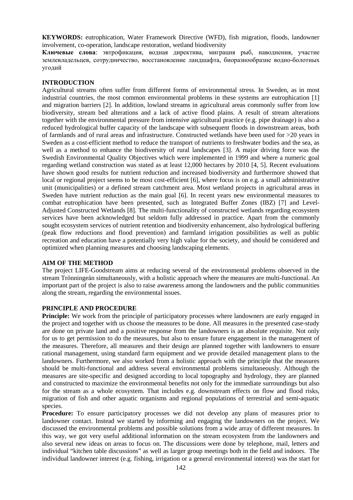**КEYWORDS:** eutrophication, Water Framework Directive (WFD), fish migration, floods, landowner involvement, co-operation, landscape restoration, wetland biodiversity

**Ключевые слова**: эвтрофикация, водная директива, миграция рыб, наводнения, участие землевладельцев, сотрудничество, восстановление ландшафта, биоразнообразие водно-болотных угодий

#### **INTRODUCTION**

Agricultural streams often suffer from different forms of environmental stress. In Sweden, as in most industrial countries, the most common environmental problems in these systems are eutrophication [1] and migration barriers [2]. In addition, lowland streams in agricultural areas commonly suffer from low biodiversity, stream bed alterations and a lack of active flood plains. A result of stream alterations together with the environmental pressure from intensive agricultural practice (e.g. pipe drainage) is also a reduced hydrological buffer capacity of the landscape with subsequent floods in downstream areas, both of farmlands and of rural areas and infrastructure. Constructed wetlands have been used for >20 years in Sweden as a cost-efficient method to reduce the transport of nutrients to freshwater bodies and the sea, as well as a method to enhance the biodiversity of rural landscapes [3]. A major driving force was the Swedish Environmental Quality Objectives which were implemented in 1999 and where a numeric goal regarding wetland construction was stated as at least 12,000 hectares by 2010 [4, 5]. Recent evaluations have shown good results for nutrient reduction and increased biodiversity and furthermore showed that local or regional project seems to be most cost-efficient [6], where focus is on e.g. a small administrative unit (municipalities) or a defined stream catchment area. Most wetland projects in agricultural areas in Sweden have nutrient reduction as the main goal [6]. In recent years new environmental measures to combat eutrophication have been presented, such as Integrated Buffer Zones (IBZ) [7] and Level-Adjusted Constructed Wetlands [8]. The multi-functionality of constructed wetlands regarding ecosystem services have been acknowledged but seldom fully addressed in practice. Apart from the commonly sought ecosystem services of nutrient retention and biodiversity enhancement, also hydrological buffering (peak flow reductions and flood prevention) and farmland irrigation possibilities as well as public recreation and education have a potentially very high value for the society, and should be considered and optimized when planning measures and choosing landscaping elements.

#### **AIM OF THE METHOD**

The project LIFE-Goodstream aims at reducing several of the environmental problems observed in the stream Trönningeån simultaneously, with a holistic approach where the measures are multi-functional. An important part of the project is also to raise awareness among the landowners and the public communities along the stream, regarding the environmental issues.

## **PRINCIPLE AND PROCEDURE**

**Principle:** We work from the principle of participatory processes where landowners are early engaged in the project and together with us choose the measures to be done. All measures in the presented case-study are done on private land and a positive response from the landowners is an absolute requisite. Not only for us to get permission to do the measures, but also to ensure future engagement in the management of the measures. Therefore, all measures and their design are planned together with landowners to ensure rational management, using standard farm equipment and we provide detailed management plans to the landowners. Furthermore, we also worked from a holistic approach with the principle that the measures should be multi-functional and address several environmental problems simultaneously. Although the measures are site-specific and designed according to local topography and hydrology, they are planned and constructed to maximize the environmental benefits not only for the immediate surroundings but also for the stream as a whole ecosystem. That includes e.g. downstream effects on flow and flood risks, migration of fish and other aquatic organisms and regional populations of terrestrial and semi-aquatic species.

**Procedure:** To ensure participatory processes we did not develop any plans of measures prior to landowner contact. Instead we started by informing and engaging the landowners on the project. We discussed the environmental problems and possible solutions from a wide array of different measures. In this way, we got very useful additional information on the stream ecosystem from the landowners and also several new ideas on areas to focus on. The discussions were done by telephone, mail, letters and individual "kitchen table discussions" as well as larger group meetings both in the field and indoors. The individual landowner interest (e.g. fishing, irrigation or a general environmental interest) was the start for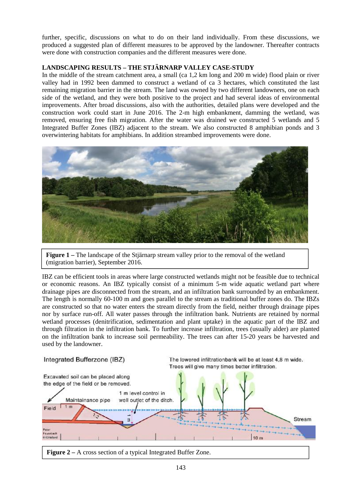further, specific, discussions on what to do on their land individually. From these discussions, we produced a suggested plan of different measures to be approved by the landowner. Thereafter contracts were done with construction companies and the different measures were done.

# **LANDSCAPING RESULTS – THE STJÄRNARP VALLEY CASE-STUDY**

In the middle of the stream catchment area, a small (ca 1,2 km long and 200 m wide) flood plain or river valley had in 1992 been dammed to construct a wetland of ca 3 hectares, which constituted the last remaining migration barrier in the stream. The land was owned by two different landowners, one on each side of the wetland, and they were both positive to the project and had several ideas of environmental improvements. After broad discussions, also with the authorities, detailed plans were developed and the construction work could start in June 2016. The 2-m high embankment, damming the wetland, was removed, ensuring free fish migration. After the water was drained we constructed 5 wetlands and 5 Integrated Buffer Zones (IBZ) adjacent to the stream. We also constructed 8 amphibian ponds and 3 overwintering habitats for amphibians. In addition streambed improvements were done.



**Figure 1 –** The landscape of the Stjärnarp stream valley prior to the removal of the wetland (migration barrier), September 2016.

IBZ can be efficient tools in areas where large constructed wetlands might not be feasible due to technical or economic reasons. An IBZ typically consist of a minimum 5-m wide aquatic wetland part where drainage pipes are disconnected from the stream, and an infiltration bank surrounded by an embankment. The length is normally 60-100 m and goes parallel to the stream as traditional buffer zones do. The IBZs are constructed so that no water enters the stream directly from the field, neither through drainage pipes nor by surface run-off. All water passes through the infiltration bank. Nutrients are retained by normal wetland processes (denitrification, sedimentation and plant uptake) in the aquatic part of the IBZ and through filtration in the infiltration bank. To further increase infiltration, trees (usually alder) are planted on the infiltration bank to increase soil permeability. The trees can after 15-20 years be harvested and used by the landowner.



**Figure 2 –** A cross section of a typical Integrated Buffer Zone.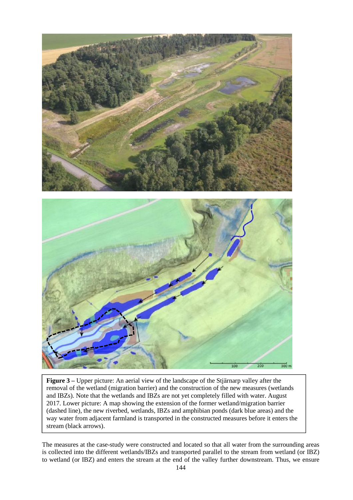

**Figure 3 –** Upper picture: An aerial view of the landscape of the Stjärnarp valley after the removal of the wetland (migration barrier) and the construction of the new measures (wetlands and IBZs). Note that the wetlands and IBZs are not yet completely filled with water. August 2017. Lower picture: A map showing the extension of the former wetland/migration barrier (dashed line), the new riverbed, wetlands, IBZs and amphibian ponds (dark blue areas) and the way water from adjacent farmland is transported in the constructed measures before it enters the stream (black arrows).

The measures at the case-study were constructed and located so that all water from the surrounding areas is collected into the different wetlands/IBZs and transported parallel to the stream from wetland (or IBZ) to wetland (or IBZ) and enters the stream at the end of the valley further downstream. Thus, we ensure